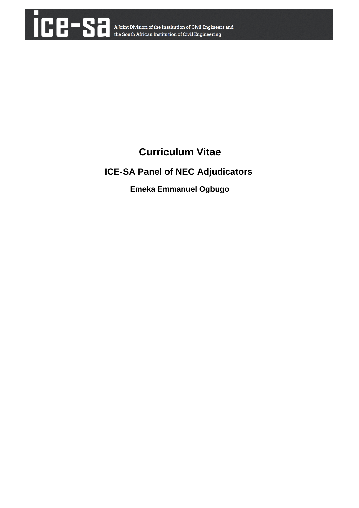

# **Curriculum Vitae**

# **ICE-SA Panel of NEC Adjudicators**

 **Emeka Emmanuel Ogbugo**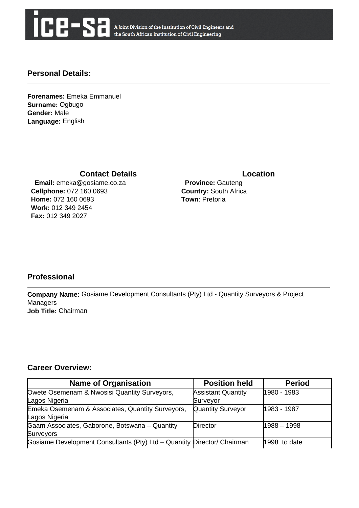

A Joint Division of the Institution of Civil Engineers and the South African Institution of Civil Engineering

### **Personal Details:**

**Forenames:** Emeka Emmanuel **Surname:** Ogbugo **Gender:** Male **Language:** English

### **Contact Details Contact Details**

 **Email:** emeka@gosiame.co.za **Cellphone:** 072 160 0693 **Home:** 072 160 0693 **Work:** 012 349 2454 **Fax:** 012 349 2027

 **Province:** Gauteng **Country:** South Africa **Town**: Pretoria

## **Professional**

**Company Name:** Gosiame Development Consultants (Pty) Ltd - Quantity Surveyors & Project **Managers Job Title:** Chairman

#### **Career Overview:**

| <b>Name of Organisation</b>                                             | <b>Position held</b>      | <b>Period</b> |
|-------------------------------------------------------------------------|---------------------------|---------------|
| Owete Osemenam & Nwosisi Quantity Surveyors,                            | <b>Assistant Quantity</b> | 1980 - 1983   |
| Lagos Nigeria                                                           | Surveyor                  |               |
| Emeka Osemenam & Associates, Quantity Surveyors,                        | <b>Quantity Surveyor</b>  | 1983 - 1987   |
| Lagos Nigeria                                                           |                           |               |
| Gaam Associates, Gaborone, Botswana - Quantity                          | Director                  | $1988 - 1998$ |
| Surveyors                                                               |                           |               |
| Gosiame Development Consultants (Pty) Ltd - Quantity Director/ Chairman |                           | 1998 to date  |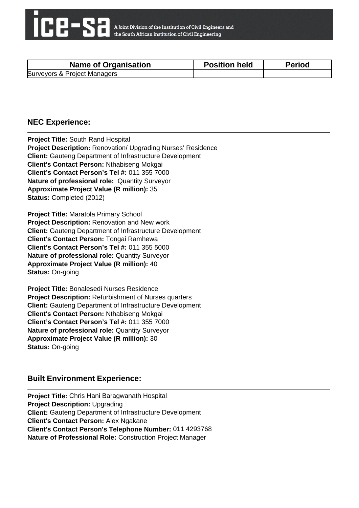

| <b>Name of Organisation</b>  | <b>Position held</b> | <b>Period</b> |
|------------------------------|----------------------|---------------|
| Surveyors & Project Managers |                      |               |

#### **NEC Experience:**

**Project Title:** South Rand Hospital **Project Description:** Renovation/ Upgrading Nurses' Residence **Client:** Gauteng Department of Infrastructure Development **Client's Contact Person:** Nthabiseng Mokgai **Client's Contact Person's Tel #:** 011 355 7000 **Nature of professional role:** Quantity Surveyor **Approximate Project Value (R million):** 35 **Status:** Completed (2012)

**Project Title:** Maratola Primary School **Project Description:** Renovation and New work **Client:** Gauteng Department of Infrastructure Development **Client's Contact Person:** Tongai Ramhewa **Client's Contact Person's Tel #:** 011 355 5000 **Nature of professional role:** Quantity Surveyor **Approximate Project Value (R million):** 40 **Status:** On-going

**Project Title:** Bonalesedi Nurses Residence **Project Description:** Refurbishment of Nurses quarters **Client:** Gauteng Department of Infrastructure Development **Client's Contact Person:** Nthabiseng Mokgai **Client's Contact Person's Tel #:** 011 355 7000 **Nature of professional role:** Quantity Surveyor **Approximate Project Value (R million):** 30 **Status:** On-going

### **Built Environment Experience:**

**Project Title:** Chris Hani Baragwanath Hospital **Project Description:** Upgrading **Client:** Gauteng Department of Infrastructure Development **Client's Contact Person:** Alex Ngakane **Client's Contact Person's Telephone Number:** 011 4293768 **Nature of Professional Role:** Construction Project Manager